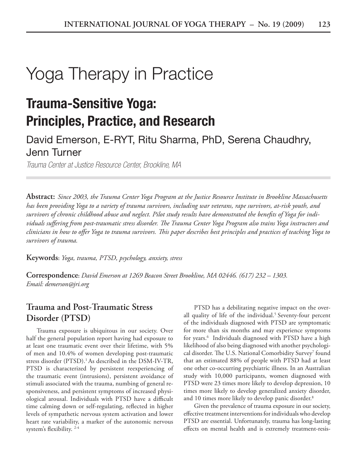# Yoga Therapy in Practice

## **Trauma-Sensitive Yoga: Principles, Practice, and Research**

## David Emerson, E-RYT, Ritu Sharma, PhD, Serena Chaudhry, Jenn Turner

*Trauma Center at Justice Resource Center, Brookline, MA*

**Abstract:** *Since 2003, the Trauma Center Yoga Program at the Justice Resource Institute in Brookline Massachusetts has been providing Yoga to a variety of trauma survivors, including war veterans, rape survivors, at-risk youth, and survivors of chronic childhood abuse and neglect. Pilot study results have demonstrated the benefits of Yoga for individuals suffering from post-traumatic stress disorder. The Trauma Center Yoga Program also trains Yoga instructors and clinicians in how to offer Yoga to trauma survivors. This paper describes best principles and practices of teaching Yoga to survivors of trauma.*

**Keywords:** *Yoga, trauma, PTSD, psychology, anxiety, stress*

**Correspondence:** *David Emerson at 1269 Beacon Street Brookline, MA 02446. (617) 232 – 1303. Email: demerson@jri.org*

## **Trauma and Post-Traumatic Stress Disorder (PTSD)**

Trauma exposure is ubiquitous in our society. Over half the general population report having had exposure to at least one traumatic event over their lifetime, with 5% of men and 10.4% of women developing post-traumatic stress disorder (PTSD).<sup>1</sup> As described in the DSM-IV-TR, PTSD is characterized by persistent reexperiencing of the traumatic event (intrusions), persistent avoidance of stimuli associated with the trauma, numbing of general responsiveness, and persistent symptoms of increased physiological arousal. Individuals with PTSD have a difficult time calming down or self-regulating, reflected in higher levels of sympathetic nervous system activation and lower heart rate variability, a marker of the autonomic nervous system's flexibility.<sup>2-4</sup>

PTSD has a debilitating negative impact on the overall quality of life of the individual.<sup>5</sup> Seventy-four percent of the individuals diagnosed with PTSD are symptomatic for more than six months and may experience symptoms for years.6 Individuals diagnosed with PTSD have a high likelihood of also being diagnosed with another psychological disorder. The U.S. National Comorbidity Survey<sup>7</sup> found that an estimated 88% of people with PTSD had at least one other co-occurring psychiatric illness. In an Australian study with 10,000 participants, women diagnosed with PTSD were 23 times more likely to develop depression, 10 times more likely to develop generalized anxiety disorder, and 10 times more likely to develop panic disorder.<sup>8</sup>

Given the prevalence of trauma exposure in our society, effective treatment interventions for individuals who develop PTSD are essential. Unfortunately, trauma has long-lasting effects on mental health and is extremely treatment-resis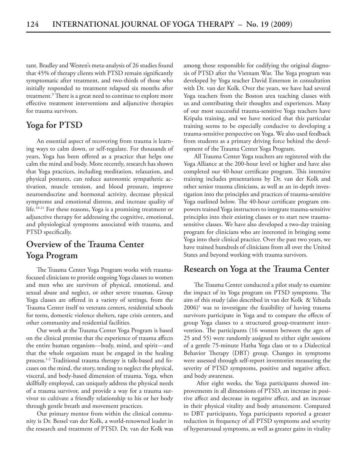tant. Bradley and Westen's meta-analysis of 26 studies found that 45% of therapy clients with PTSD remain significantly symptomatic after treatment, and two-thirds of those who initially responded to treatment relapsed six months after treatment.9 There is a great need to continue to explore more effective treatment interventions and adjunctive therapies for trauma survivors.

## **Yoga for PTSD**

An essential aspect of recovering from trauma is learning ways to calm down, or self-regulate. For thousands of years, Yoga has been offered as a practice that helps one calm the mind and body. More recently, research has shown that Yoga practices, including meditation, relaxation, and physical postures, can reduce autonomic sympathetic activation, muscle tension, and blood pressure, improve neuroendocrine and hormonal activity, decrease physical symptoms and emotional distress, and increase quality of life.10-21 For these reasons, Yoga is a promising treatment or adjunctive therapy for addressing the cognitive, emotional, and physiological symptoms associated with trauma, and PTSD specifically.

## **Overview of the Trauma Center Yoga Program**

The Trauma Center Yoga Program works with traumafocused clinicians to provide ongoing Yoga classes to women and men who are survivors of physical, emotional, and sexual abuse and neglect, or other severe traumas. Group Yoga classes are offered in a variety of settings, from the Trauma Center itself to veterans centers, residential schools for teens, domestic violence shelters, rape crisis centers, and other community and residential facilities.

Our work at the Trauma Center Yoga Program is based on the clinical premise that the experience of trauma affects the entire human organism—body, mind, and spirit—and that the whole organism must be engaged in the healing process.1-2 Traditional trauma therapy is talk-based and focuses on the mind, the story, tending to neglect the physical, visceral, and body-based dimension of trauma. Yoga, when skillfully employed, can uniquely address the physical needs of a trauma survivor, and provide a way for a trauma survivor to cultivate a friendly relationship to his or her body through gentle breath and movement practices.

Our primary mentor from within the clinical community is Dr. Bessel van der Kolk, a world-renowned leader in the research and treatment of PTSD. Dr. van der Kolk was among those responsible for codifying the original diagnosis of PTSD after the Vietnam War. The Yoga program was developed by Yoga teacher David Emerson in consultation with Dr. van der Kolk. Over the years, we have had several Yoga teachers from the Boston area teaching classes with us and contributing their thoughts and experiences. Many of our most successful trauma-sensitive Yoga teachers have Kripalu training, and we have noticed that this particular training seems to be especially conducive to developing a trauma-sensitive perspective on Yoga. We also used feedback from students as a primary driving force behind the development of the Trauma Center Yoga Program.

All Trauma Center Yoga teachers are registered with the Yoga Alliance at the 200-hour level or higher and have also completed our 40-hour certificate program. This intensive training includes presentations by Dr. van der Kolk and other senior trauma clinicians, as well as an in-depth investigation into the principles and practices of trauma-sensitive Yoga outlined below. The 40-hour certificate program empowers trained Yoga instructors to integrate trauma-sensitive principles into their existing classes or to start new traumasensitive classes. We have also developed a two-day training program for clinicians who are interested in bringing some Yoga into their clinical practice. Over the past two years, we have trained hundreds of clinicians from all over the United States and beyond working with trauma survivors.

#### **Research on Yoga at the Trauma Center**

The Trauma Center conducted a pilot study to examine the impact of its Yoga program on PTSD symptoms. The aim of this study (also described in van der Kolk & Yehuda  $2006$ <sup>1</sup> was to investigate the feasibility of having trauma survivors participate in Yoga and to compare the effects of group Yoga classes to a structured group-treatment intervention. The participants (16 women between the ages of 25 and 55) were randomly assigned to either eight sessions of a gentle 75-minute Hatha Yoga class or to a Dialectical Behavior Therapy (DBT) group. Changes in symptoms were assessed through self-report inventories measuring the severity of PTSD symptoms, positive and negative affect, and body awareness.

 After eight weeks, the Yoga participants showed improvements in all dimensions of PTSD, an increase in positive affect and decrease in negative affect, and an increase in their physical vitality and body attunement. Compared to DBT participants, Yoga participants reported a greater reduction in frequency of all PTSD symptoms and severity of hyperarousal symptoms, as well as greater gains in vitality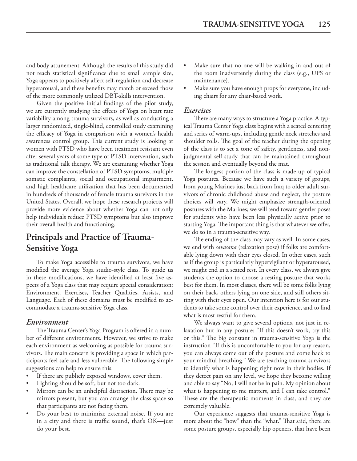and body attunement. Although the results of this study did not reach statistical significance due to small sample size, Yoga appears to positively affect self-regulation and decrease hyperarousal, and these benefits may match or exceed those of the more commonly utilized DBT-skills intervention.

Given the positive initial findings of the pilot study, we are currently studying the effects of Yoga on heart rate variability among trauma survivors, as well as conducting a larger randomized, single-blind, controlled study examining the efficacy of Yoga in comparison with a women's health awareness control group. This current study is looking at women with PTSD who have been treatment resistant even after several years of some type of PTSD intervention, such as traditional talk therapy. We are examining whether Yoga can improve the constellation of PTSD symptoms, multiple somatic complaints, social and occupational impairment, and high healthcare utilization that has been documented in hundreds of thousands of female trauma survivors in the United States. Overall, we hope these research projects will provide more evidence about whether Yoga can not only help individuals reduce PTSD symptoms but also improve their overall health and functioning.

## **Principals and Practice of Trauma-Sensitive Yoga**

To make Yoga accessible to trauma survivors, we have modified the average Yoga studio-style class. To guide us in these modifications, we have identified at least five aspects of a Yoga class that may require special consideration: Environment, Exercises, Teacher Qualities, Assists, and Language. Each of these domains must be modified to accommodate a trauma-sensitive Yoga class.

#### *Environment*

The Trauma Center's Yoga Program is offered in a number of different environments. However, we strive to make each environment as welcoming as possible for trauma survivors. The main concern is providing a space in which participants feel safe and less vulnerable. The following simple suggestions can help to ensure this.

- If there are publicly exposed windows, cover them.
- Lighting should be soft, but not too dark.
- Mirrors can be an unhelpful distraction. There may be mirrors present, but you can arrange the class space so that participants are not facing them.
- Do your best to minimize external noise. If you are in a city and there is traffic sound, that's OK—just do your best.
- Make sure that no one will be walking in and out of the room inadvertently during the class (e.g., UPS or maintenance).
- Make sure you have enough props for everyone, including chairs for any chair-based work.

#### *Exercises*

There are many ways to structure a Yoga practice. A typical Trauma Center Yoga class begins with a seated centering and series of warm-ups, including gentle neck stretches and shoulder rolls. The goal of the teacher during the opening of the class is to set a tone of safety, gentleness, and nonjudgmental self-study that can be maintained throughout the session and eventually beyond the mat.

The longest portion of the class is made up of typical Yoga postures. Because we have such a variety of groups, from young Marines just back from Iraq to older adult survivors of chronic childhood abuse and neglect, the posture choices will vary. We might emphasize strength-oriented postures with the Marines; we will tend toward gentler poses for students who have been less physically active prior to starting Yoga. The important thing is that whatever we offer, we do so in a trauma-sensitive way.

The ending of the class may vary as well. In some cases, we end with *savasana* (relaxation pose) if folks are comfortable lying down with their eyes closed. In other cases, such as if the group is particularly hypervigilant or hyperaroused, we might end in a seated rest. In every class, we always give students the option to choose a resting posture that works best for them. In most classes, there will be some folks lying on their back, others lying on one side, and still others sitting with their eyes open. Our intention here is for our students to take some control over their experience, and to find what is most restful for them.

We always want to give several options, not just in relaxation but in any posture: "If this doesn't work, try this or this." The big constant in trauma-sensitive Yoga is the instruction "If this is uncomfortable to you for any reason, you can always come out of the posture and come back to your mindful breathing." We are teaching trauma survivors to identify what is happening right now in their bodies. If they detect pain on any level, we hope they become willing and able to say "No, I will not be in pain. My opinion about what is happening to me matters, and I can take control." These are the therapeutic moments in class, and they are extremely valuable.

Our experience suggests that trauma-sensitive Yoga is more about the "how" than the "what." That said, there are some posture groups, especially hip openers, that have been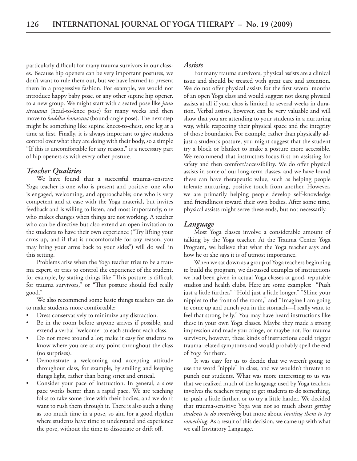particularly difficult for many trauma survivors in our classes. Because hip openers can be very important postures, we don't want to rule them out, but we have learned to present them in a progressive fashion. For example, we would not introduce happy baby pose, or any other supine hip opener, to a new group. We might start with a seated pose like *janu sirsasana* (head-to-knee pose) for many weeks and then move to *baddha konasana* (bound-angle pose). The next step might be something like supine knees-to-chest, one leg at a time at first. Finally, it is always important to give students control over what they are doing with their body, so a simple "If this is uncomfortable for any reason," is a necessary part of hip openers as with every other posture.

#### *Teacher Qualities*

We have found that a successful trauma-sensitive Yoga teacher is one who is present and positive; one who is engaged, welcoming, and approachable; one who is very competent and at ease with the Yoga material, but invites feedback and is willing to listen; and most importantly, one who makes changes when things are not working. A teacher who can be directive but also extend an open invitation to the students to have their own experience ("Try lifting your arms up, and if that is uncomfortable for any reason, you may bring your arms back to your sides") will do well in this setting.

Problems arise when the Yoga teacher tries to be a trauma expert, or tries to control the experience of the student, for example, by stating things like "This posture is difficult for trauma survivors," or "This posture should feel really good."

We also recommend some basic things teachers can do to make students more comfortable:

- Dress conservatively to minimize any distraction.
- Be in the room before anyone arrives if possible, and extend a verbal "welcome" to each student each class.
- Do not move around a lot; make it easy for students to know where you are at any point throughout the class (no surprises).
- • Demonstrate a welcoming and accepting attitude throughout class, for example, by smiling and keeping things light, rather than being strict and critical.
- • Consider your pace of instruction. In general, a slow pace works better than a rapid pace. We are teaching folks to take some time with their bodies, and we don't want to rush them through it. There is also such a thing as too much time in a pose, so aim for a good rhythm where students have time to understand and experience the pose, without the time to dissociate or drift off.

#### *Assists*

For many trauma survivors, physical assists are a clinical issue and should be treated with great care and attention. We do not offer physical assists for the first several months of an open Yoga class and would suggest not doing physical assists at all if your class is limited to several weeks in duration. Verbal assists, however, can be very valuable and will show that you are attending to your students in a nurturing way, while respecting their physical space and the integrity of those boundaries. For example, rather than physically adjust a student's posture, you might suggest that the student try a block or blanket to make a posture more accessible. We recommend that instructors focus first on assisting for safety and then comfort/accessibility. We do offer physical assists in some of our long-term classes, and we have found these can have therapeutic value, such as helping people tolerate nurturing, positive touch from another. However, we are primarily helping people develop self-knowledge and friendliness toward their own bodies. After some time, physical assists might serve these ends, but not necessarily.

#### *Language*

Most Yoga classes involve a considerable amount of talking by the Yoga teacher. At the Trauma Center Yoga Program, we believe that what the Yoga teacher says and how he or she says it is of utmost importance.

When we sat down as a group of Yoga teachers beginning to build the program, we discussed examples of instructions we had been given in actual Yoga classes at good, reputable studios and health clubs. Here are some examples: "Push just a little further," "Hold just a little longer," "Shine your nipples to the front of the room," and "Imagine I am going to come up and punch you in the stomach—I really want to feel that strong belly." You may have heard instructions like these in your own Yoga classes. Maybe they made a strong impression and made you cringe, or maybe not. For trauma survivors, however, these kinds of instructions could trigger trauma-related symptoms and would probably spell the end of Yoga for them.

It was easy for us to decide that we weren't going to use the word "nipple" in class, and we wouldn't threaten to punch our students. What was more interesting to us was that we realized much of the language used by Yoga teachers involves the teachers trying to get students to do something, to push a little farther, or to try a little harder. We decided that trauma-sensitive Yoga was not so much about *getting students to do something* but more about *inviting them to try something*. As a result of this decision, we came up with what we call Invitatory Language.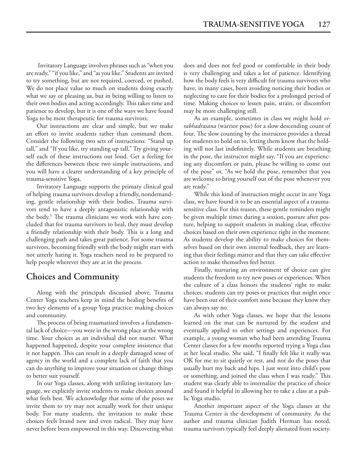Invitatory Language involves phrases such as "when you are ready," "if you like," and "as you like." Students are invited to try something, but are not required, coerced, or pushed. We do not place value so much on students doing exactly what we say or pleasing us, but in being willing to listen to their own bodies and acting accordingly. This takes time and patience to develop, but it is one of the ways we have found Yoga to be most therapeutic for trauma survivors.

Our instructions are clear and simple, but we make an effort to invite students rather than command them. Consider the following two sets of instructions: "Stand up tall," and "If you like, try standing up tall." Try giving yourself each of these instructions out loud. Get a feeling for the differences between these two simple instructions, and you will have a clearer understanding of a key principle of trauma-sensitive Yoga.

Invitatory Language supports the primary clinical goal of helping trauma survivors develop a friendly, nondemanding, gentle relationship with their bodies. Trauma survivors tend to have a deeply antagonistic relationship with the body.3 The trauma clinicians we work with have concluded that for trauma survivors to heal, they must develop a friendly relationship with their body. This is a long and challenging path and takes great patience. For some trauma survivors, becoming friendly with the body might start with not utterly hating it. Yoga teachers need to be prepared to help people wherever they are at in the process.

### **Choices and Community**

Along with the principals discussed above, Trauma Center Yoga teachers keep in mind the healing benefits of two key elements of a group Yoga practice: making choices and community.

The process of being traumatized involves a fundamental lack of choice—you were in the wrong place at the wrong time. Your choices as an individual did not matter. What happened happened, despite your complete insistence that it not happen. This can result in a deeply damaged sense of agency in the world and a complete lack of faith that you can do anything to improve your situation or change things to better suit yourself.

In our Yoga classes, along with utilizing invitatory language, we explicitly invite students to make choices around what feels best. We acknowledge that some of the poses we invite them to try may not actually work for their unique body. For many students, the invitation to make these choices feels brand new and even radical. They may have never before been empowered in this way. Discovering what

does and does not feel good or comfortable in their body is very challenging and takes a lot of patience. Identifying how the body feels is very difficult for trauma survivors who have, in many cases, been avoiding noticing their bodies or neglecting to care for their bodies for a prolonged period of time. Making choices to lessen pain, strain, or discomfort may be more challenging still.

As an example, sometimes in class we might hold *virabhadrasana* (warrior pose) for a slow descending count of four. The slow counting by the instructor provides a thread for students to hold on to, letting them know that the holding will not last indefinitely. While students are breathing in the pose, the instructor might say, "If you are experiencing any discomfort or pain, please be willing to come out of the pose" or, "As we hold the pose, remember that you are welcome to bring yourself out of the pose whenever you are ready."

While this kind of instruction might occur in any Yoga class, we have found it to be an essential aspect of a traumasensitive class. For this reason, these gentle reminders might be given multiple times during a session, posture after posture, helping to support students in making clear, effective choices based on their own experience right in the moment. As students develop the ability to make choices for themselves based on their own internal feedback, they are learning that their feelings matter and that they can take effective action to make themselves feel better.

Finally, nurturing an environment of choice can give students the freedom to try new poses or experiences. When the culture of a class honors the students' right to make choices, students can try poses or practices that might once have been out of their comfort zone because they know they can always say no.

As with other Yoga classes, we hope that the lessons learned on the mat can be nurtured by the student and eventually applied to other settings and experiences. For example, a young woman who had been attending Trauma Center classes for a few months reported trying a Yoga class at her local studio. She said, "I finally felt like it really was OK for me to sit quietly or rest, and not do the poses that usually hurt my back and hips. I just went into child's pose or something, and joined the class when I was ready." This student was clearly able to internalize the practice of choice and found it helpful in allowing her to take a class at a public Yoga studio.

Another important aspect of the Yoga classes at the Trauma Center is the development of community. As the author and trauma clinician Judith Herman has noted, trauma survivors typically feel deeply alienated from society.